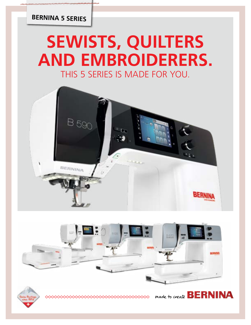## **BERNINA 5 SERIES**

# **SEWISTS, QUILTERS AND EMBROIDERERS.** THIS 5 SERIES IS MADE FOR YOU.







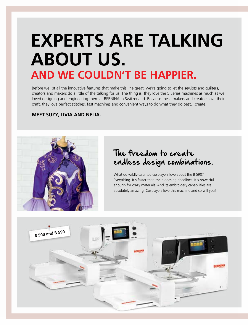# **EXPERTS ARE TALKING ABOUT US. AND WE COULDN'T BE HAPPIER.**

Before we list all the innovative features that make this line great, we're going to let the sewists and quilters, creators and makers do a little of the talking for us. The thing is, they love the 5 Series machines as much as we loved designing and engineering them at BERNINA in Switzerland. Because these makers and creators love their craft, they love perfect stitches, fast machines and convenient ways to do what they do best…create.

#### **MEET SUZY, LIVIA AND NELIA.**



## The freedom to create endless design combinations.

What do wildly-talented cosplayers love about the B 590? Everything. It's faster than their looming deadlines. It's powerful enough for crazy materials. And its embroidery capabilities are absolutely amazing. Cosplayers love this machine and so will you!

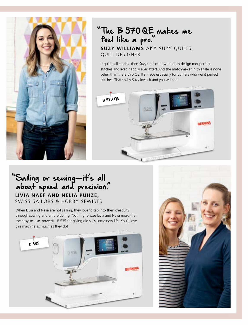

## **SUZY WILLIAMS** AKA SUZY QUILTS, QUILT DESIGNER "The B 570 QE makes me feel like a pro."

If quilts tell stories, then Suzy's tell of how modern design met perfect stitches and lived happily ever after! And the matchmaker in this tale is none other than the B 570 QE. It's made especially for quilters who want perfect stitches. That's why Suzy loves it and you will too!



## **LIVIA NAEF AND NELIA PUHZE,**  SWISS SAILORS & HOBBY SEWISTS "Sailing or sewing—it's all about speed and precision."

When Livia and Nelia are not sailing, they love to tap into their creativity through sewing and embroidering. Nothing relaxes Livia and Nelia more than the easy-to-use, powerful B 535 for giving old sails some new life. You'll love this machine as much as they do!



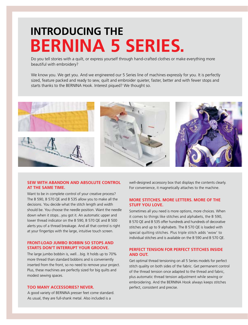# **INTRODUCING THE BERNINA 5 SERIES.**

Do you tell stories with a quilt, or express yourself through hand-crafted clothes or make everything more beautiful with embroidery?

We know you. We get you. And we engineered our 5 Series line of machines expressly for you. It is perfectly sized, feature packed and ready to sew, quilt and embroider quieter, faster, better and with fewer stops and starts thanks to the BERNINA Hook. Interest piqued? We thought so.



#### **SEW WITH ABANDON AND ABSOLUTE CONTROL AT THE SAME TIME.**

Want to be in complete control of your creative process? The B 590, B 570 QE and B 535 allow you to make all the decisions. You decide what the stitch length and width should be. You choose the needle position. Want the needle down when it stops...you got it. An automatic upper and lower thread indicator on the B 590, B 570 QE and B 500 alerts you of a thread breakage. And all that control is right at your fingertips with the large, intuitive touch screen.

#### **FRONT-LOAD JUMBO BOBBIN SO STOPS AND STARTS DON'T INTERRUPT YOUR GROOVE.**

The large jumbo bobbin is, well…big. It holds up to 70% more thread than standard bobbins and is conveniently inserted from the front, so no need to remove your project. Plus, these machines are perfectly sized for big quilts and modest sewing spaces.

#### **TOO MANY ACCESSORIES? NEVER.**

A good variety of BERNINA presser feet come standard. As usual, they are full-shank metal. Also included is a

well-designed accessory box that displays the contents clearly. For convenience, it magnetically attaches to the machine.

#### **MORE STITCHES. MORE LETTERS. MORE OF THE STUFF YOU LOVE.**

Sometimes all you need is more options, more choices. When it comes to things like stitches and alphabets, the B 590, B 570 QE and B 535 offer hundreds and hundreds of decorative stitches and up to 9 alphabets. The B 570 QE is loaded with special quilting stitches. Plus triple stitch adds 'wow' to individual stitches and is available on the B 590 and B 570 QE.

#### **PERFECT TENSION FOR PERFECT STITCHES INSIDE AND OUT.**

Get optimal thread tensioning on all 5 Series models for perfect stitch quality on both sides of the fabric. Get permanent control of the thread tension once adapted to the thread and fabric, plus automatic thread tension adjustment while sewing or embroidering. And the BERNINA Hook always keeps stitches perfect, consistent and precise.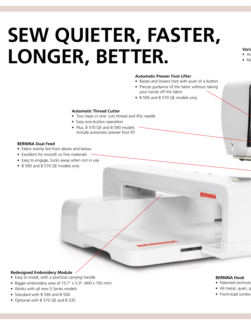# **SEW QUIETER, FASTER, LONGER, BETTER.**

- **Vari**a  $\bullet$  Ad
- $\bullet$  Mi

#### **Automatic Presser Foot Lifter**

- Raises and lowers foot with push of a button
- Precise guidance of the fabric without taking your hands off the fabric
- B 590 and B 570 QE models only

#### **Automatic Thread Cutter**

- Two steps in one: cuts thread and lifts needle
- Easy one-button operation
- Plus, B 570 QE and B 590 models include automatic presser foot lift

#### **BERNINA Dual Feed**

- Fabric evenly fed from above and below
- Excellent for smooth or fine materials
- Easy to engage, tucks away when not in use
- B 590 and B 570 QE models only

#### **Redesigned Embroidery Module**

- Easy to install, with a practical carrying handle
- Bigger embroidery area of 15.7" x 5.9" (400 x 150 mm)
- Works with all new 5 Series models
- Standard with B 590 and B 500
- Optional with B 570 QE and B 535

#### **BERNINA Hook**

**BERNINA** 

- Patented technolo
- $\bullet$  All metal, quiet, powerful
- $\bullet$  Front-load Jumbo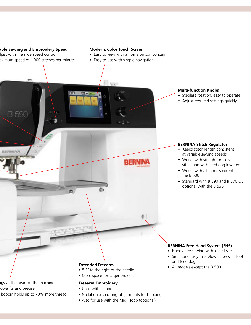#### **Variable Sewing and Embroidery Speed**

**B 590** 

ijust with the slide speed control aximum speed of 1,000 stitches per minute

#### **Modern, Color Touch Screen**

• Easy to view with a home button concept

**BERNINA** 

• Easy to use with simple navigation

#### **Multi-function Knobs**

- Stepless rotation, easy to operate
- Adjust required settings quickly

#### **BERNINA Stitch Regulator**

- Keeps stitch length consistent at variable sewing speeds
- Works with straight or zigzag stitch and with feed dog lowered
- Works with all models except the B 500
- Standard with B 590 and B 570 QE, optional with the B 535

#### **BERNINA Free Hand System (FHS)**

- Hands free sewing with knee lever
- Simultaneously raises/lowers presser foot and feed dog
- All models except the B 500 **Extended Freearm**

ogy at the heart of the machine owerful and precise

- 
- bobbin holds up to 70% more thread

- 8.5" to the right of the needle
- More space for larger projects

#### **Freearm Embroidery**

- Used with all hoops
- No laborious cutting of garments for hooping
- Also for use with the Midi Hoop (optional)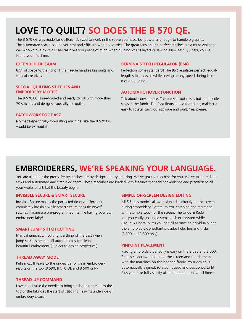# **LOVE TO QUILT? SO DOES THE B 570 QE.**

The B 570 QE was made for quilters. It's sized to work in the space you have, but powerful enough to handle big quilts. The automated features keep you fast and efficient with no worries. The great tension and perfect stitches are a must while the well-known quality of a BERNINA gives you peace of mind when quilting lots of layers or sewing super fast. Quilters, you've found your machine.

#### **EXTENDED FREEARM**

8.5" of space to the right of the needle handles big quilts and tons of creativity.

#### **SPECIAL QUILTING STITCHES AND EMBROIDERY MOTIFS**

The B 570 QE is pre-loaded and ready to roll with more than 70 stitches and designs especially for quilts.

#### **PATCHWORK FOOT #97**

No made-specifically-for-quilting machine, like the B 570 QE, would be without it.

#### **BERNINA STITCH REGULATOR (BSR)**

Perfection comes standard! The BSR regulates perfect, equallength stitches even while sewing at any speed during freemotion quilting.

#### **AUTOMATIC HOVER FUNCTION**

Talk about convenience. The presser foot raises but the needle stays in the fabric. The foot floats above the fabric, making it easy to rotate, turn, do appliqué and quilt. Yes, please.

## **EMBROIDERERS, WE'RE SPEAKING YOUR LANGUAGE.**

You are all about the pretty. Pretty stitches, pretty designs, pretty amazing. We've got the machine for you. We've taken tedious tasks and automated and simplified them. These machines are loaded with features that add convenience and precision to all your works of art. Let the beauty begin.

#### **INVISIBLE SECURE & SMART SECURE**

Invisible Secure makes the perfected tie-on/off formation completely invisible while Smart Secure adds tie-on/off stitches if none are pre-programmed. It's like having your own embroidery fairy!

#### **SMART JUMP STITCH CUTTING**

Manual jump stitch cutting is a thing of the past when jump stitches are cut off automatically for clean, beautiful embroidery. (Subject to design properties.)

#### **THREAD AWAY MODE**

Pulls most threads to the underside for clean embroidery results on the top (B 590, B 570 QE and B 500 only).

#### **THREAD-UP COMMAND**

Lower and raise the needle to bring the bobbin thread to the top of the fabric at the start of stitching, leaving underside of embroidery clean.

#### **SIMPLE ON-SCREEN DESIGN EDITING**

All 5 Series models allow design edits directly on the screen during embroidery. Rotate, mirror, combine and rearrange with a simple touch of the screen. The Undo & Redo lets you easily go single steps back or forward while Group & Ungroup lets you edit all at once or individually, and the Embroidery Consultant provides help, tips and tricks (B 590 and B 500 only).

#### **PINPOINT PLACEMENT**

Placing embroidery perfectly is easy on the B 590 and B 500. Simply select two points on the screen and match them with the markings on the hooped fabric. Your design is automatically aligned, rotated, resized and positioned to fit. Plus you have full visibility of the hooped fabric at all times.